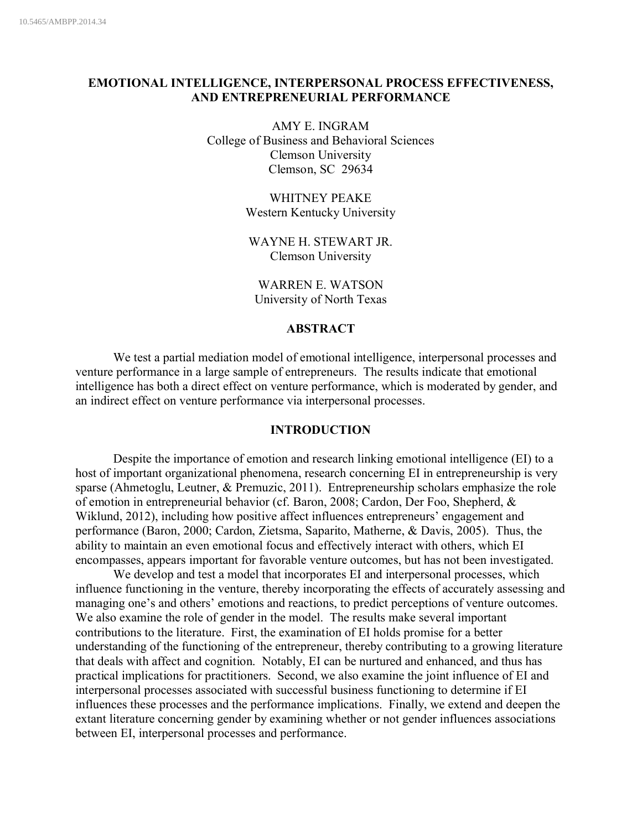# **EMOTIONAL INTELLIGENCE, INTERPERSONAL PROCESS EFFECTIVENESS, AND ENTREPRENEURIAL PERFORMANCE**

AMY E. INGRAM College of Business and Behavioral Sciences Clemson University Clemson, SC 29634

> WHITNEY PEAKE Western Kentucky University

WAYNE H. STEWART JR. Clemson University

WARREN E. WATSON University of North Texas

## **ABSTRACT**

We test a partial mediation model of emotional intelligence, interpersonal processes and venture performance in a large sample of entrepreneurs. The results indicate that emotional intelligence has both a direct effect on venture performance, which is moderated by gender, and an indirect effect on venture performance via interpersonal processes.

### **INTRODUCTION**

Despite the importance of emotion and research linking emotional intelligence (EI) to a host of important organizational phenomena, research concerning EI in entrepreneurship is very sparse (Ahmetoglu, Leutner, & Premuzic, 2011). Entrepreneurship scholars emphasize the role of emotion in entrepreneurial behavior (cf. Baron, 2008; Cardon, Der Foo, Shepherd, & Wiklund, 2012), including how positive affect influences entrepreneurs' engagement and performance (Baron, 2000; Cardon, Zietsma, Saparito, Matherne, & Davis, 2005). Thus, the ability to maintain an even emotional focus and effectively interact with others, which EI encompasses, appears important for favorable venture outcomes, but has not been investigated.

We develop and test a model that incorporates EI and interpersonal processes, which influence functioning in the venture, thereby incorporating the effects of accurately assessing and managing one's and others' emotions and reactions, to predict perceptions of venture outcomes. We also examine the role of gender in the model. The results make several important contributions to the literature. First, the examination of EI holds promise for a better understanding of the functioning of the entrepreneur, thereby contributing to a growing literature that deals with affect and cognition. Notably, EI can be nurtured and enhanced, and thus has practical implications for practitioners. Second, we also examine the joint influence of EI and interpersonal processes associated with successful business functioning to determine if EI influences these processes and the performance implications. Finally, we extend and deepen the extant literature concerning gender by examining whether or not gender influences associations between EI, interpersonal processes and performance.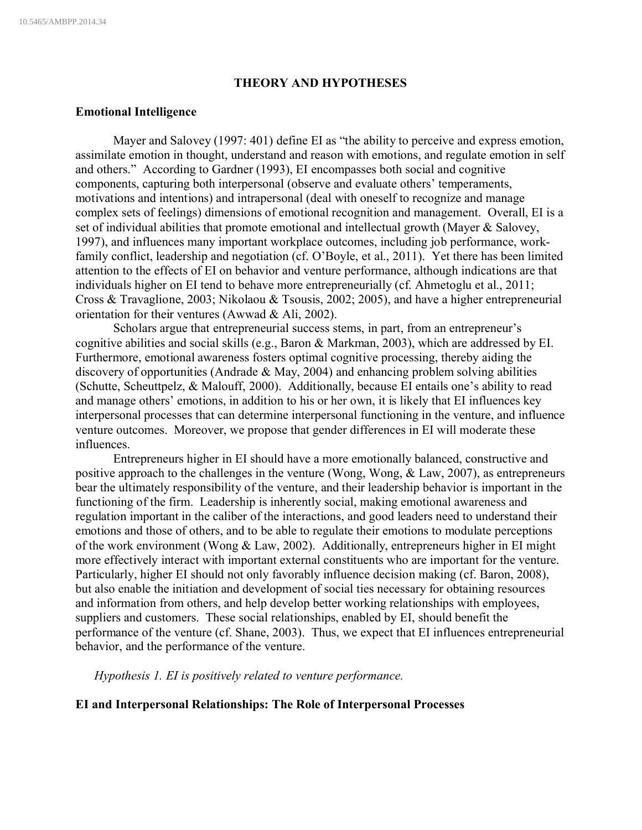### **THEORY AND HYPOTHESES**

### **Emotional Intelligence**

Mayer and Salovey (1997: 401) define EI as "the ability to perceive and express emotion, assimilate emotion in thought, understand and reason with emotions, and regulate emotion in self and others." According to Gardner (1993), EI encompasses both social and cognitive components, capturing both interpersonal (observe and evaluate others' temperaments, motivations and intentions) and intrapersonal (deal with oneself to recognize and manage complex sets of feelings) dimensions of emotional recognition and management. Overall, EI is a set of individual abilities that promote emotional and intellectual growth (Mayer & Salovey, 1997), and influences many important workplace outcomes, including job performance, workfamily conflict, leadership and negotiation (cf. O'Boyle, et al., 2011). Yet there has been limited attention to the effects of EI on behavior and venture performance, although indications are that individuals higher on EI tend to behave more entrepreneurially (cf. Ahmetoglu et al., 2011; Cross & Travaglione, 2003; Nikolaou & Tsousis, 2002; 2005), and have a higher entrepreneurial orientation for their ventures (Awwad & Ali, 2002).

Scholars argue that entrepreneurial success stems, in part, from an entrepreneur's cognitive abilities and social skills (e.g., Baron & Markman, 2003), which are addressed by EI. Furthermore, emotional awareness fosters optimal cognitive processing, thereby aiding the discovery of opportunities (Andrade & May, 2004) and enhancing problem solving abilities (Schutte, Scheuttpelz, & Malouff, 2000). Additionally, because EI entails one's ability to read and manage others' emotions, in addition to his or her own, it is likely that EI influences key interpersonal processes that can determine interpersonal functioning in the venture, and influence venture outcomes. Moreover, we propose that gender differences in EI will moderate these influences.

Entrepreneurs higher in EI should have a more emotionally balanced, constructive and positive approach to the challenges in the venture (Wong, Wong, & Law, 2007), as entrepreneurs bear the ultimately responsibility of the venture, and their leadership behavior is important in the functioning of the firm. Leadership is inherently social, making emotional awareness and regulation important in the caliber of the interactions, and good leaders need to understand their emotions and those of others, and to be able to regulate their emotions to modulate perceptions of the work environment (Wong & Law, 2002). Additionally, entrepreneurs higher in EI might more effectively interact with important external constituents who are important for the venture. Particularly, higher EI should not only favorably influence decision making (cf. Baron, 2008), but also enable the initiation and development of social ties necessary for obtaining resources and information from others, and help develop better working relationships with employees, suppliers and customers. These social relationships, enabled by EI, should benefit the performance of the venture (cf. Shane, 2003). Thus, we expect that EI influences entrepreneurial behavior, and the performance of the venture.

*Hypothesis 1. EI is positively related to venture performance.*

## **EI and Interpersonal Relationships: The Role of Interpersonal Processes**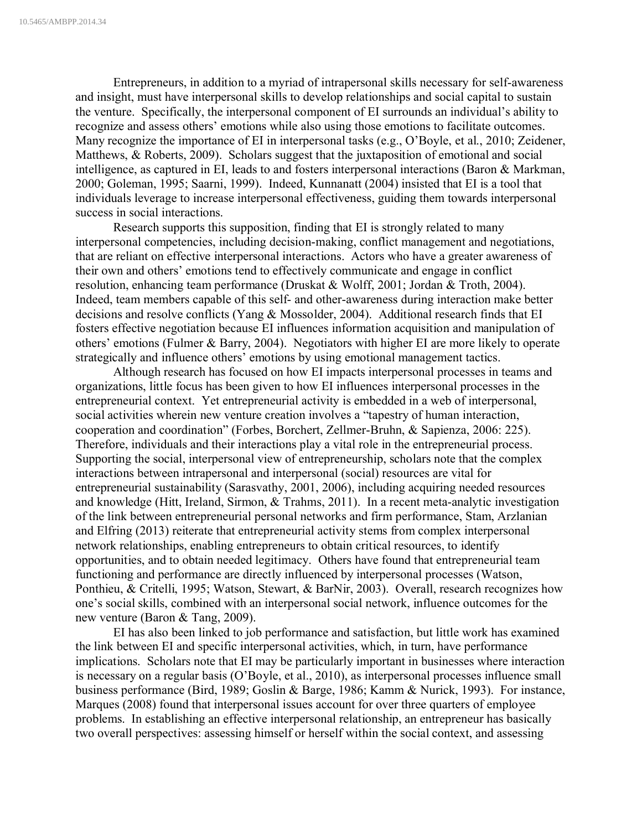Entrepreneurs, in addition to a myriad of intrapersonal skills necessary for self-awareness and insight, must have interpersonal skills to develop relationships and social capital to sustain the venture. Specifically, the interpersonal component of EI surrounds an individual's ability to recognize and assess others' emotions while also using those emotions to facilitate outcomes. Many recognize the importance of EI in interpersonal tasks (e.g., O'Boyle, et al., 2010; Zeidener, Matthews, & Roberts, 2009). Scholars suggest that the juxtaposition of emotional and social intelligence, as captured in EI, leads to and fosters interpersonal interactions (Baron & Markman, 2000; Goleman, 1995; Saarni, 1999). Indeed, Kunnanatt (2004) insisted that EI is a tool that individuals leverage to increase interpersonal effectiveness, guiding them towards interpersonal success in social interactions.

Research supports this supposition, finding that EI is strongly related to many interpersonal competencies, including decision-making, conflict management and negotiations, that are reliant on effective interpersonal interactions. Actors who have a greater awareness of their own and others' emotions tend to effectively communicate and engage in conflict resolution, enhancing team performance (Druskat & Wolff, 2001; Jordan & Troth, 2004). Indeed, team members capable of this self- and other-awareness during interaction make better decisions and resolve conflicts (Yang & Mossolder, 2004). Additional research finds that EI fosters effective negotiation because EI influences information acquisition and manipulation of others' emotions (Fulmer & Barry, 2004). Negotiators with higher EI are more likely to operate strategically and influence others' emotions by using emotional management tactics.

Although research has focused on how EI impacts interpersonal processes in teams and organizations, little focus has been given to how EI influences interpersonal processes in the entrepreneurial context. Yet entrepreneurial activity is embedded in a web of interpersonal, social activities wherein new venture creation involves a "tapestry of human interaction, cooperation and coordination" (Forbes, Borchert, Zellmer-Bruhn, & Sapienza, 2006: 225). Therefore, individuals and their interactions play a vital role in the entrepreneurial process. Supporting the social, interpersonal view of entrepreneurship, scholars note that the complex interactions between intrapersonal and interpersonal (social) resources are vital for entrepreneurial sustainability (Sarasvathy, 2001, 2006), including acquiring needed resources and knowledge (Hitt, Ireland, Sirmon, & Trahms, 2011). In a recent meta-analytic investigation of the link between entrepreneurial personal networks and firm performance, Stam, Arzlanian and Elfring (2013) reiterate that entrepreneurial activity stems from complex interpersonal network relationships, enabling entrepreneurs to obtain critical resources, to identify opportunities, and to obtain needed legitimacy. Others have found that entrepreneurial team functioning and performance are directly influenced by interpersonal processes (Watson, Ponthieu, & Critelli, 1995; Watson, Stewart, & BarNir, 2003). Overall, research recognizes how one's social skills, combined with an interpersonal social network, influence outcomes for the new venture (Baron & Tang, 2009).

EI has also been linked to job performance and satisfaction, but little work has examined the link between EI and specific interpersonal activities, which, in turn, have performance implications. Scholars note that EI may be particularly important in businesses where interaction is necessary on a regular basis (O'Boyle, et al., 2010), as interpersonal processes influence small business performance (Bird, 1989; Goslin & Barge, 1986; Kamm & Nurick, 1993). For instance, Marques (2008) found that interpersonal issues account for over three quarters of employee problems. In establishing an effective interpersonal relationship, an entrepreneur has basically two overall perspectives: assessing himself or herself within the social context, and assessing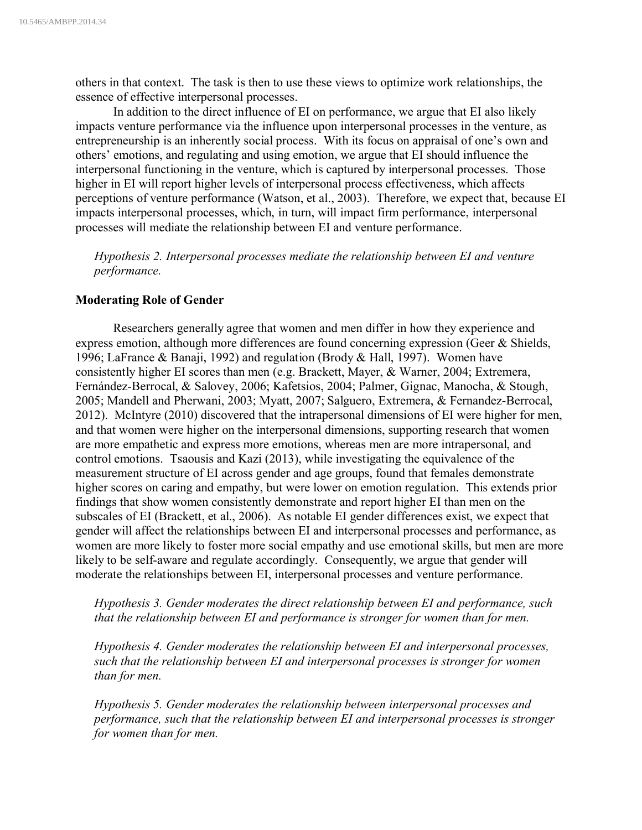others in that context. The task is then to use these views to optimize work relationships, the essence of effective interpersonal processes.

In addition to the direct influence of EI on performance, we argue that EI also likely impacts venture performance via the influence upon interpersonal processes in the venture, as entrepreneurship is an inherently social process. With its focus on appraisal of one's own and others' emotions, and regulating and using emotion, we argue that EI should influence the interpersonal functioning in the venture, which is captured by interpersonal processes. Those higher in EI will report higher levels of interpersonal process effectiveness, which affects perceptions of venture performance (Watson, et al., 2003). Therefore, we expect that, because EI impacts interpersonal processes, which, in turn, will impact firm performance, interpersonal processes will mediate the relationship between EI and venture performance.

*Hypothesis 2. Interpersonal processes mediate the relationship between EI and venture performance.*

### **Moderating Role of Gender**

Researchers generally agree that women and men differ in how they experience and express emotion, although more differences are found concerning expression (Geer & Shields, 1996; LaFrance & Banaji, 1992) and regulation (Brody & Hall, 1997). Women have consistently higher EI scores than men (e.g. Brackett, Mayer, & Warner, 2004; Extremera, Fernández-Berrocal, & Salovey, 2006; Kafetsios, 2004; Palmer, Gignac, Manocha, & Stough, 2005; Mandell and Pherwani, 2003; Myatt, 2007; Salguero, Extremera, & Fernandez-Berrocal, 2012). McIntyre (2010) discovered that the intrapersonal dimensions of EI were higher for men, and that women were higher on the interpersonal dimensions, supporting research that women are more empathetic and express more emotions, whereas men are more intrapersonal, and control emotions. Tsaousis and Kazi (2013), while investigating the equivalence of the measurement structure of EI across gender and age groups, found that females demonstrate higher scores on caring and empathy, but were lower on emotion regulation. This extends prior findings that show women consistently demonstrate and report higher EI than men on the subscales of EI (Brackett, et al., 2006). As notable EI gender differences exist, we expect that gender will affect the relationships between EI and interpersonal processes and performance, as women are more likely to foster more social empathy and use emotional skills, but men are more likely to be self-aware and regulate accordingly. Consequently, we argue that gender will moderate the relationships between EI, interpersonal processes and venture performance.

## *Hypothesis 3. Gender moderates the direct relationship between EI and performance, such that the relationship between EI and performance is stronger for women than for men.*

*Hypothesis 4. Gender moderates the relationship between EI and interpersonal processes, such that the relationship between EI and interpersonal processes is stronger for women than for men.*

*Hypothesis 5. Gender moderates the relationship between interpersonal processes and performance, such that the relationship between EI and interpersonal processes is stronger for women than for men.*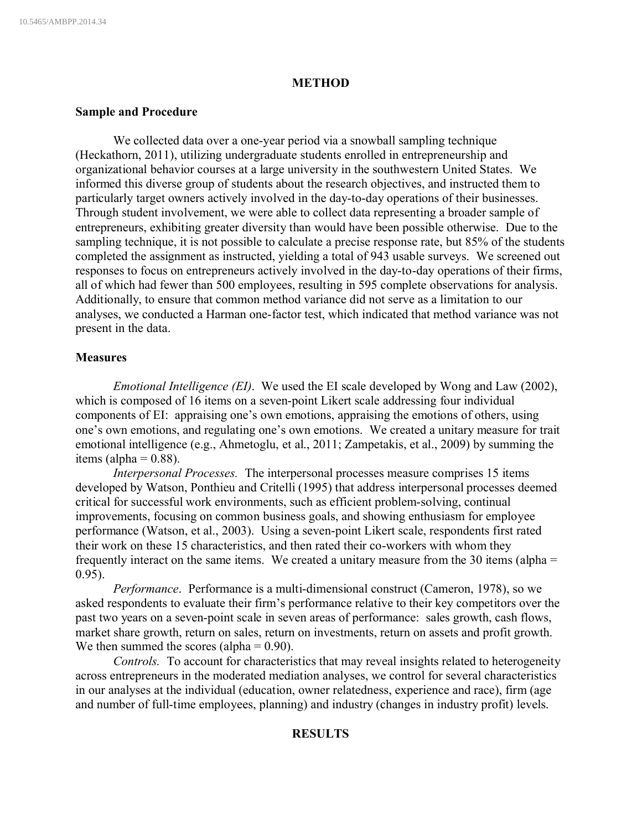### **METHOD**

#### **Sample and Procedure**

We collected data over a one-year period via a snowball sampling technique (Heckathorn, 2011), utilizing undergraduate students enrolled in entrepreneurship and organizational behavior courses at a large university in the southwestern United States. We informed this diverse group of students about the research objectives, and instructed them to particularly target owners actively involved in the day-to-day operations of their businesses. Through student involvement, we were able to collect data representing a broader sample of entrepreneurs, exhibiting greater diversity than would have been possible otherwise. Due to the sampling technique, it is not possible to calculate a precise response rate, but 85% of the students completed the assignment as instructed, yielding a total of 943 usable surveys. We screened out responses to focus on entrepreneurs actively involved in the day-to-day operations of their firms, all of which had fewer than 500 employees, resulting in 595 complete observations for analysis. Additionally, to ensure that common method variance did not serve as a limitation to our analyses, we conducted a Harman one-factor test, which indicated that method variance was not present in the data.

### **Measures**

*Emotional Intelligence (EI)*. We used the EI scale developed by Wong and Law (2002), which is composed of 16 items on a seven-point Likert scale addressing four individual components of EI: appraising one's own emotions, appraising the emotions of others, using one's own emotions, and regulating one's own emotions. We created a unitary measure for trait emotional intelligence (e.g., Ahmetoglu, et al., 2011; Zampetakis, et al., 2009) by summing the items (alpha  $= 0.88$ ).

*Interpersonal Processes.* The interpersonal processes measure comprises 15 items developed by Watson, Ponthieu and Critelli (1995) that address interpersonal processes deemed critical for successful work environments, such as efficient problem-solving, continual improvements, focusing on common business goals, and showing enthusiasm for employee performance (Watson, et al., 2003). Using a seven-point Likert scale, respondents first rated their work on these 15 characteristics, and then rated their co-workers with whom they frequently interact on the same items. We created a unitary measure from the 30 items (alpha = 0.95).

*Performance*. Performance is a multi-dimensional construct (Cameron, 1978), so we asked respondents to evaluate their firm's performance relative to their key competitors over the past two years on a seven-point scale in seven areas of performance: sales growth, cash flows, market share growth, return on sales, return on investments, return on assets and profit growth. We then summed the scores (alpha  $= 0.90$ ).

*Controls.* To account for characteristics that may reveal insights related to heterogeneity across entrepreneurs in the moderated mediation analyses, we control for several characteristics in our analyses at the individual (education, owner relatedness, experience and race), firm (age and number of full-time employees, planning) and industry (changes in industry profit) levels.

### **RESULTS**